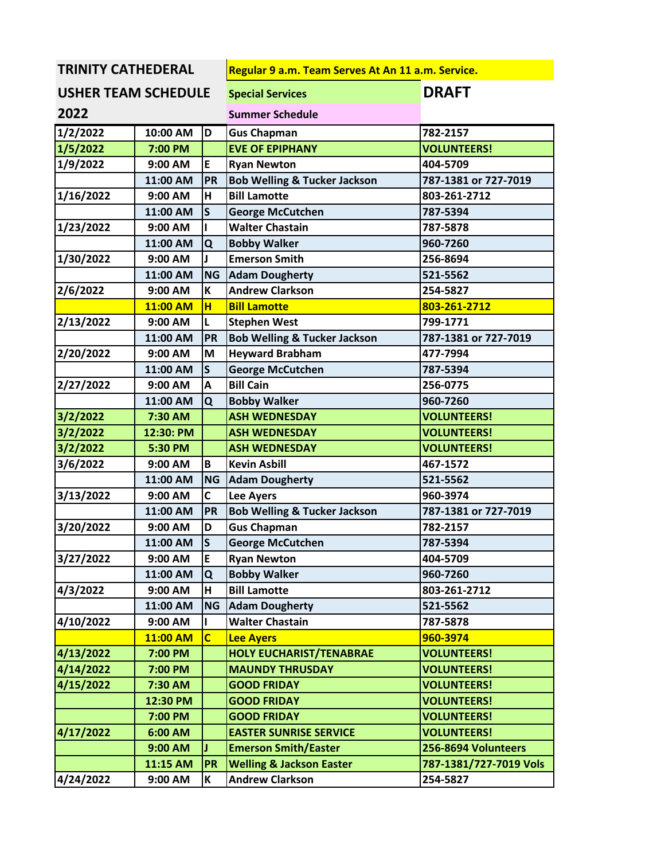**TRINITY CATHEDERAL Regular 9 a.m. Team Serves At An 11 a.m. Service.**<br> **REGISTE ANA SCHEDLILE Special Services** 

| <b>USHER TEAM SCHEDULE</b><br>2022 |           |                | <b>Special Services</b>                 | <b>DRAFT</b>           |
|------------------------------------|-----------|----------------|-----------------------------------------|------------------------|
|                                    |           |                | <b>Summer Schedule</b>                  |                        |
| 1/2/2022                           | 10:00 AM  | D              | <b>Gus Chapman</b>                      | 782-2157               |
| 1/5/2022                           | 7:00 PM   |                | <b>EVE OF EPIPHANY</b>                  | <b>VOLUNTEERS!</b>     |
| 1/9/2022                           | 9:00 AM   | E              | <b>Ryan Newton</b>                      | 404-5709               |
|                                    | 11:00 AM  | PR             | <b>Bob Welling &amp; Tucker Jackson</b> | 787-1381 or 727-7019   |
| 1/16/2022                          | 9:00 AM   | н              | <b>Bill Lamotte</b>                     | 803-261-2712           |
|                                    | 11:00 AM  | $\mathsf{s}$   | <b>George McCutchen</b>                 | 787-5394               |
| 1/23/2022                          | 9:00 AM   |                | <b>Walter Chastain</b>                  | 787-5878               |
|                                    | 11:00 AM  | Q              | <b>Bobby Walker</b>                     | 960-7260               |
| 1/30/2022                          | 9:00 AM   |                | <b>Emerson Smith</b>                    | 256-8694               |
|                                    | 11:00 AM  | <b>NG</b>      | <b>Adam Dougherty</b>                   | 521-5562               |
| 2/6/2022                           | 9:00 AM   | K              | <b>Andrew Clarkson</b>                  | 254-5827               |
|                                    | 11:00 AM  | H              | <b>Bill Lamotte</b>                     | 803-261-2712           |
| 2/13/2022                          | 9:00 AM   | L              | <b>Stephen West</b>                     | 799-1771               |
|                                    | 11:00 AM  | PR             | <b>Bob Welling &amp; Tucker Jackson</b> | 787-1381 or 727-7019   |
| 2/20/2022                          | 9:00 AM   | M              | <b>Heyward Brabham</b>                  | 477-7994               |
|                                    | 11:00 AM  | $\mathsf{s}$   | <b>George McCutchen</b>                 | 787-5394               |
| 2/27/2022                          | 9:00 AM   | Α              | <b>Bill Cain</b>                        | 256-0775               |
|                                    | 11:00 AM  | Q              | <b>Bobby Walker</b>                     | 960-7260               |
| 3/2/2022                           | 7:30 AM   |                | <b>ASH WEDNESDAY</b>                    | <b>VOLUNTEERS!</b>     |
| 3/2/2022                           | 12:30: PM |                | <b>ASH WEDNESDAY</b>                    | <b>VOLUNTEERS!</b>     |
| 3/2/2022                           | 5:30 PM   |                | <b>ASH WEDNESDAY</b>                    | <b>VOLUNTEERS!</b>     |
| 3/6/2022                           | 9:00 AM   | B              | <b>Kevin Asbill</b>                     | 467-1572               |
|                                    | 11:00 AM  | <b>NG</b>      | <b>Adam Dougherty</b>                   | 521-5562               |
| 3/13/2022                          | 9:00 AM   | C              | <b>Lee Ayers</b>                        | 960-3974               |
|                                    | 11:00 AM  | <b>PR</b>      | <b>Bob Welling &amp; Tucker Jackson</b> | 787-1381 or 727-7019   |
| 3/20/2022                          | 9:00 AM   | D              | <b>Gus Chapman</b>                      | 782-2157               |
|                                    | 11:00 AM  | $\mathsf{S}$   | <b>George McCutchen</b>                 | 787-5394               |
| 3/27/2022                          | 9:00 AM   | E              | <b>Ryan Newton</b>                      | 404-5709               |
|                                    | 11:00 AM  | Q              | <b>Bobby Walker</b>                     | 960-7260               |
| 4/3/2022                           | 9:00 AM   | н              | <b>Bill Lamotte</b>                     | 803-261-2712           |
|                                    | 11:00 AM  | <b>NG</b>      | <b>Adam Dougherty</b>                   | 521-5562               |
| 4/10/2022                          | 9:00 AM   |                | <b>Walter Chastain</b>                  | 787-5878               |
|                                    | 11:00 AM  | $\overline{c}$ | <b>Lee Ayers</b>                        | 960-3974               |
| 4/13/2022                          | 7:00 PM   |                | <b>HOLY EUCHARIST/TENABRAE</b>          | <b>VOLUNTEERS!</b>     |
| 4/14/2022                          | 7:00 PM   |                | <b>MAUNDY THRUSDAY</b>                  | <b>VOLUNTEERS!</b>     |
| 4/15/2022                          | 7:30 AM   |                | <b>GOOD FRIDAY</b>                      | <b>VOLUNTEERS!</b>     |
|                                    | 12:30 PM  |                | <b>GOOD FRIDAY</b>                      | <b>VOLUNTEERS!</b>     |
|                                    | 7:00 PM   |                | <b>GOOD FRIDAY</b>                      | <b>VOLUNTEERS!</b>     |
| 4/17/2022                          | 6:00 AM   |                | <b>EASTER SUNRISE SERVICE</b>           | <b>VOLUNTEERS!</b>     |
|                                    | 9:00 AM   |                | <b>Emerson Smith/Easter</b>             | 256-8694 Volunteers    |
|                                    | 11:15 AM  | <b>PR</b>      | <b>Welling &amp; Jackson Easter</b>     | 787-1381/727-7019 Vols |
| 4/24/2022                          | 9:00 AM   | K              | <b>Andrew Clarkson</b>                  | 254-5827               |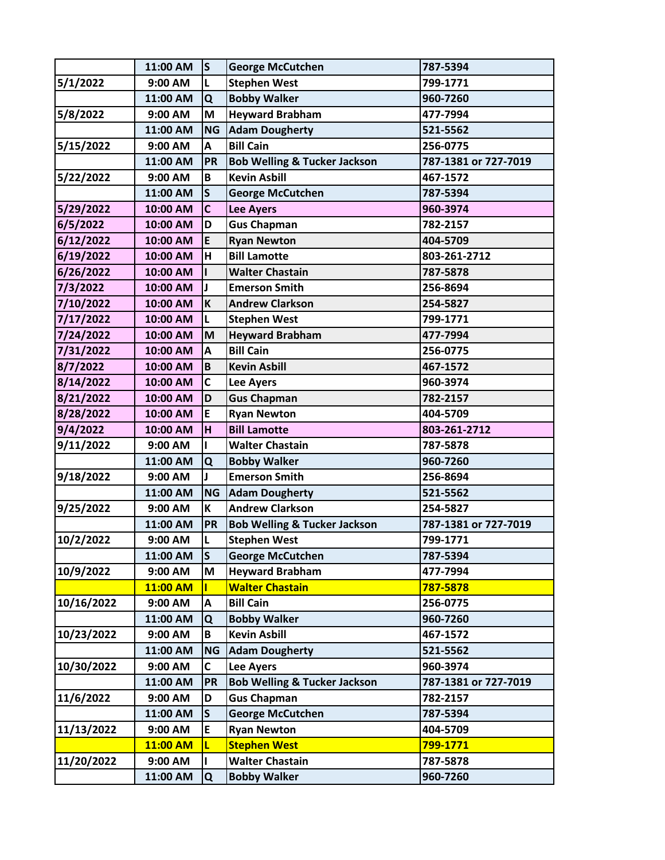|            | 11:00 AM | $\mathsf{s}$   | <b>George McCutchen</b>                 | 787-5394             |
|------------|----------|----------------|-----------------------------------------|----------------------|
| 5/1/2022   | 9:00 AM  | L              | <b>Stephen West</b>                     | 799-1771             |
|            | 11:00 AM | Q              | <b>Bobby Walker</b>                     | 960-7260             |
| 5/8/2022   | 9:00 AM  | M              | <b>Heyward Brabham</b>                  | 477-7994             |
|            | 11:00 AM | <b>NG</b>      | <b>Adam Dougherty</b>                   | 521-5562             |
| 5/15/2022  | 9:00 AM  | A              | <b>Bill Cain</b>                        | 256-0775             |
|            | 11:00 AM | <b>PR</b>      | <b>Bob Welling &amp; Tucker Jackson</b> | 787-1381 or 727-7019 |
| 5/22/2022  | 9:00 AM  | B              | <b>Kevin Asbill</b>                     | 467-1572             |
|            | 11:00 AM | $\mathsf{s}$   | <b>George McCutchen</b>                 | 787-5394             |
| 5/29/2022  | 10:00 AM | C              | <b>Lee Ayers</b>                        | 960-3974             |
| 6/5/2022   | 10:00 AM | D              | <b>Gus Chapman</b>                      | 782-2157             |
| 6/12/2022  | 10:00 AM | E              | <b>Ryan Newton</b>                      | 404-5709             |
| 6/19/2022  | 10:00 AM | H              | <b>Bill Lamotte</b>                     | 803-261-2712         |
| 6/26/2022  | 10:00 AM |                | <b>Walter Chastain</b>                  | 787-5878             |
| 7/3/2022   | 10:00 AM |                | <b>Emerson Smith</b>                    | 256-8694             |
| 7/10/2022  | 10:00 AM | K              | <b>Andrew Clarkson</b>                  | 254-5827             |
| 7/17/2022  | 10:00 AM | L              | <b>Stephen West</b>                     | 799-1771             |
| 7/24/2022  | 10:00 AM | M              | <b>Heyward Brabham</b>                  | 477-7994             |
| 7/31/2022  | 10:00 AM | A              | <b>Bill Cain</b>                        | 256-0775             |
| 8/7/2022   | 10:00 AM | B              | <b>Kevin Asbill</b>                     | 467-1572             |
| 8/14/2022  | 10:00 AM | C              | <b>Lee Ayers</b>                        | 960-3974             |
| 8/21/2022  | 10:00 AM | D              | <b>Gus Chapman</b>                      | 782-2157             |
| 8/28/2022  | 10:00 AM | E              | <b>Ryan Newton</b>                      | 404-5709             |
| 9/4/2022   | 10:00 AM | $\overline{H}$ | <b>Bill Lamotte</b>                     | 803-261-2712         |
| 9/11/2022  | 9:00 AM  |                | <b>Walter Chastain</b>                  | 787-5878             |
|            | 11:00 AM | Q              | <b>Bobby Walker</b>                     | 960-7260             |
| 9/18/2022  | 9:00 AM  |                | <b>Emerson Smith</b>                    | 256-8694             |
|            | 11:00 AM | <b>NG</b>      | <b>Adam Dougherty</b>                   | 521-5562             |
| 9/25/2022  | 9:00 AM  | К              | <b>Andrew Clarkson</b>                  | 254-5827             |
|            | 11:00 AM | <b>PR</b>      | <b>Bob Welling &amp; Tucker Jackson</b> | 787-1381 or 727-7019 |
| 10/2/2022  | 9:00 AM  | L              | <b>Stephen West</b>                     | 799-1771             |
|            | 11:00 AM | $\mathsf{s}$   | <b>George McCutchen</b>                 | 787-5394             |
| 10/9/2022  | 9:00 AM  | M              | <b>Heyward Brabham</b>                  | 477-7994             |
|            | 11:00 AM |                | <b>Walter Chastain</b>                  | 787-5878             |
| 10/16/2022 | 9:00 AM  | A              | <b>Bill Cain</b>                        | 256-0775             |
|            | 11:00 AM | Q              | <b>Bobby Walker</b>                     | 960-7260             |
| 10/23/2022 | 9:00 AM  | B              | <b>Kevin Asbill</b>                     | 467-1572             |
|            | 11:00 AM | <b>NG</b>      | <b>Adam Dougherty</b>                   | 521-5562             |
| 10/30/2022 | 9:00 AM  | C              | <b>Lee Ayers</b>                        | 960-3974             |
|            | 11:00 AM | <b>PR</b>      | <b>Bob Welling &amp; Tucker Jackson</b> | 787-1381 or 727-7019 |
| 11/6/2022  | 9:00 AM  | D              | <b>Gus Chapman</b>                      | 782-2157             |
|            | 11:00 AM | $\mathsf S$    | <b>George McCutchen</b>                 | 787-5394             |
| 11/13/2022 | 9:00 AM  | E              | <b>Ryan Newton</b>                      | 404-5709             |
|            | 11:00 AM | L              | <b>Stephen West</b>                     | 799-1771             |
| 11/20/2022 | 9:00 AM  |                | <b>Walter Chastain</b>                  | 787-5878             |
|            | 11:00 AM | Q              | <b>Bobby Walker</b>                     | 960-7260             |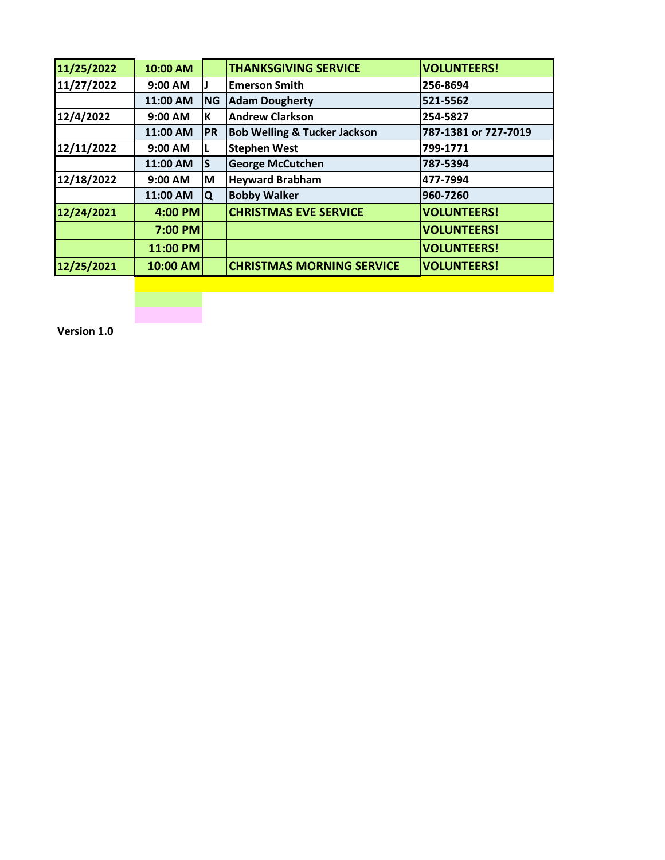| 11/25/2022 | 10:00 AM |           | <b>THANKSGIVING SERVICE</b>             | <b>VOLUNTEERS!</b>   |
|------------|----------|-----------|-----------------------------------------|----------------------|
| 11/27/2022 | 9:00 AM  |           | <b>Emerson Smith</b>                    | 256-8694             |
|            | 11:00 AM | <b>NG</b> | <b>Adam Dougherty</b>                   | 521-5562             |
| 12/4/2022  | 9:00 AM  | İΚ        | <b>Andrew Clarkson</b>                  | 254-5827             |
|            | 11:00 AM | PR        | <b>Bob Welling &amp; Tucker Jackson</b> | 787-1381 or 727-7019 |
| 12/11/2022 | 9:00 AM  |           | <b>Stephen West</b>                     | 799-1771             |
|            | 11:00 AM | ls        | <b>George McCutchen</b>                 | 787-5394             |
| 12/18/2022 | 9:00 AM  | ΙM        | <b>Heyward Brabham</b>                  | 477-7994             |
|            | 11:00 AM | IQ.       | <b>Bobby Walker</b>                     | 960-7260             |
| 12/24/2021 | 4:00 PM  |           | <b>CHRISTMAS EVE SERVICE</b>            | <b>VOLUNTEERS!</b>   |
|            | 7:00 PM  |           |                                         | <b>VOLUNTEERS!</b>   |
|            | 11:00 PM |           |                                         | <b>VOLUNTEERS!</b>   |
| 12/25/2021 | 10:00 AM |           | <b>CHRISTMAS MORNING SERVICE</b>        | <b>VOLUNTEERS!</b>   |
|            |          |           |                                         |                      |

**Version 1.0**